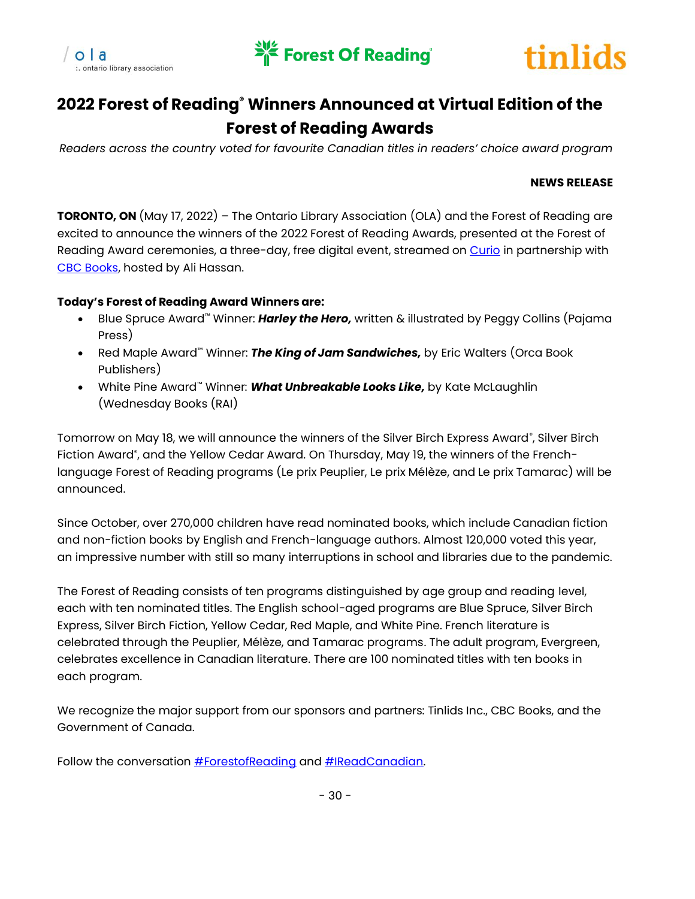





# **2022 Forest of Reading® Winners Announced at Virtual Edition of the Forest of Reading Awards**

*Readers across the country voted for favourite Canadian titles in readers' choice award program*

### **NEWS RELEASE**

**TORONTO, ON** (May 17, 2022) – The Ontario Library Association (OLA) and the Forest of Reading are excited to announce the winners of the 2022 Forest of Reading Awards, presented at the Forest of Reading Award ceremonies, a three-day, free digital event, streamed on [Curio](https://www.cbc.ca/books/see-the-winner-announcements-on-day-one-of-the-2022-forest-of-reading-festival-1.6455700) in partnership with [CBC Books,](https://www.cbc.ca/books) hosted by Ali Hassan.

## **Today's Forest of Reading Award Winners are:**

- Blue Spruce Award™ Winner: *Harley the Hero,* written & illustrated by Peggy Collins (Pajama Press)
- Red Maple Award™ Winner: *The King of Jam Sandwiches,* by Eric Walters (Orca Book Publishers)
- White Pine Award™ Winner: *What Unbreakable Looks Like,* by Kate McLaughlin (Wednesday Books (RAI)

Tomorrow on May 18, we will announce the winners of the Silver Birch Express Award®, Silver Birch Fiction Award® , and the Yellow Cedar Award. On Thursday, May 19, the winners of the Frenchlanguage Forest of Reading programs (Le prix Peuplier, Le prix Mélèze, and Le prix Tamarac) will be announced.

Since October, over 270,000 children have read nominated books, which include Canadian fiction and non-fiction books by English and French-language authors. Almost 120,000 voted this year, an impressive number with still so many interruptions in school and libraries due to the pandemic.

The Forest of Reading consists of ten programs distinguished by age group and reading level, each with ten nominated titles. The English school-aged programs are Blue Spruce, Silver Birch Express, Silver Birch Fiction, Yellow Cedar, Red Maple, and White Pine. French literature is celebrated through the Peuplier, Mélèze, and Tamarac programs. The adult program, Evergreen, celebrates excellence in Canadian literature. There are 100 nominated titles with ten books in each program.

We recognize the major support from our sponsors and partners: Tinlids Inc., CBC Books, and the Government of Canada.

Follow the conversation **#ForestofReading** and **#IReadCanadian**.